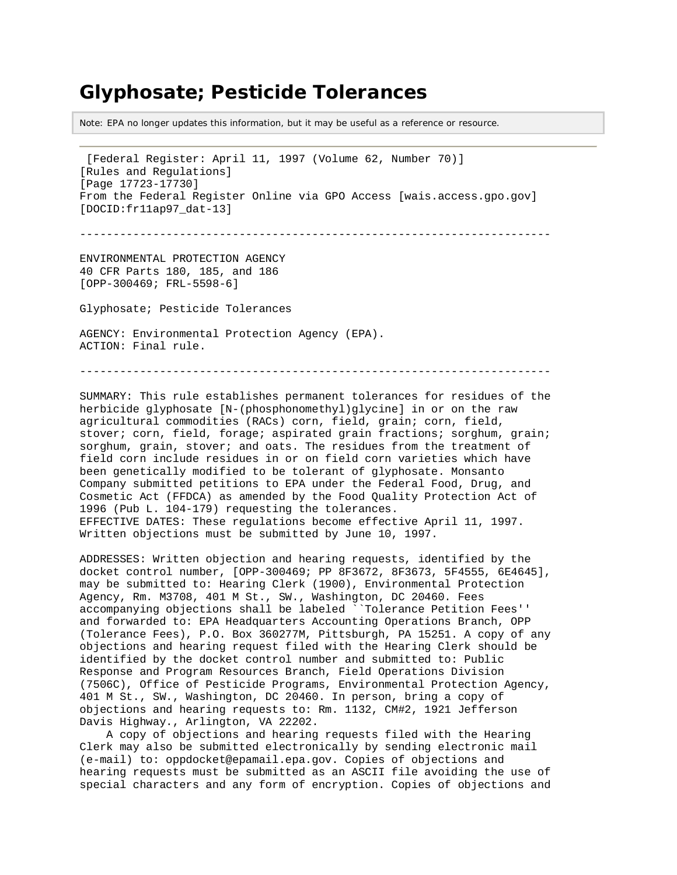# **Glyphosate; Pesticide Tolerances**

Note: EPA no longer updates this information, but it may be useful as a reference or resource.

[Federal Register: April 11, 1997 (Volume 62, Number 70)] [Rules and Regulations] [Page 17723-17730] From the Federal Register Online via GPO Access [wais.access.gpo.gov] [DOCID:fr11ap97\_dat-13]

-----------------------------------------------------------------------

ENVIRONMENTAL PROTECTION AGENCY 40 CFR Parts 180, 185, and 186 [OPP-300469; FRL-5598-6]

Glyphosate; Pesticide Tolerances

AGENCY: Environmental Protection Agency (EPA). ACTION: Final rule.

-----------------------------------------------------------------------

SUMMARY: This rule establishes permanent tolerances for residues of the herbicide glyphosate [N-(phosphonomethyl)glycine] in or on the raw agricultural commodities (RACs) corn, field, grain; corn, field, stover; corn, field, forage; aspirated grain fractions; sorghum, grain; sorghum, grain, stover; and oats. The residues from the treatment of field corn include residues in or on field corn varieties which have been genetically modified to be tolerant of glyphosate. Monsanto Company submitted petitions to EPA under the Federal Food, Drug, and Cosmetic Act (FFDCA) as amended by the Food Quality Protection Act of 1996 (Pub L. 104-179) requesting the tolerances. EFFECTIVE DATES: These regulations become effective April 11, 1997. Written objections must be submitted by June 10, 1997.

ADDRESSES: Written objection and hearing requests, identified by the docket control number, [OPP-300469; PP 8F3672, 8F3673, 5F4555, 6E4645], may be submitted to: Hearing Clerk (1900), Environmental Protection Agency, Rm. M3708, 401 M St., SW., Washington, DC 20460. Fees accompanying objections shall be labeled ``Tolerance Petition Fees'' and forwarded to: EPA Headquarters Accounting Operations Branch, OPP (Tolerance Fees), P.O. Box 360277M, Pittsburgh, PA 15251. A copy of any objections and hearing request filed with the Hearing Clerk should be identified by the docket control number and submitted to: Public Response and Program Resources Branch, Field Operations Division (7506C), Office of Pesticide Programs, Environmental Protection Agency, 401 M St., SW., Washington, DC 20460. In person, bring a copy of objections and hearing requests to: Rm. 1132, CM#2, 1921 Jefferson Davis Highway., Arlington, VA 22202.

 A copy of objections and hearing requests filed with the Hearing Clerk may also be submitted electronically by sending electronic mail (e-mail) to: oppdocket@epamail.epa.gov. Copies of objections and hearing requests must be submitted as an ASCII file avoiding the use of special characters and any form of encryption. Copies of objections and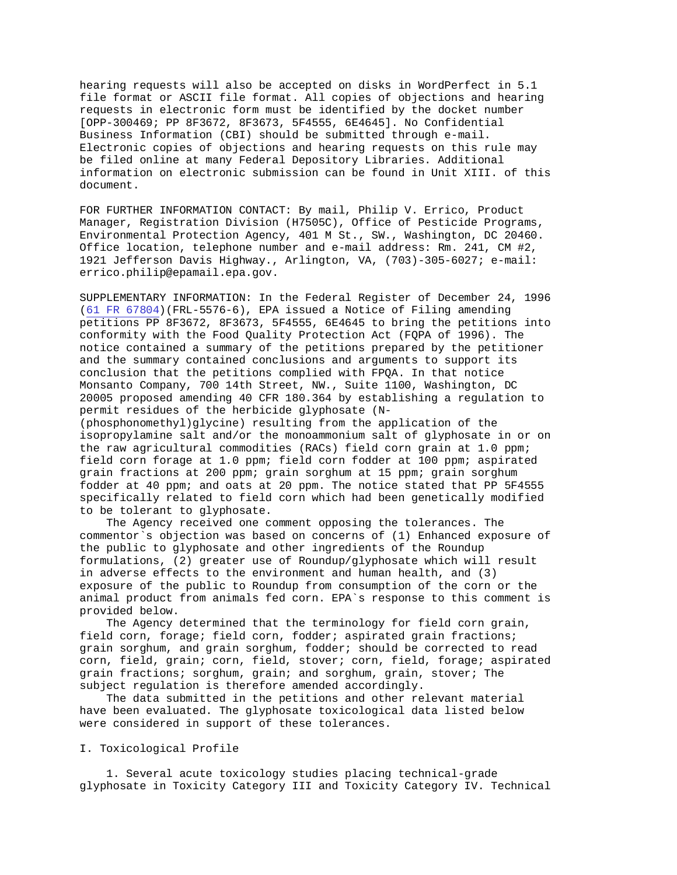hearing requests will also be accepted on disks in WordPerfect in 5.1 file format or ASCII file format. All copies of objections and hearing requests in electronic form must be identified by the docket number [OPP-300469; PP 8F3672, 8F3673, 5F4555, 6E4645]. No Confidential Business Information (CBI) should be submitted through e-mail. Electronic copies of objections and hearing requests on this rule may be filed online at many Federal Depository Libraries. Additional information on electronic submission can be found in Unit XIII. of this document.

FOR FURTHER INFORMATION CONTACT: By mail, Philip V. Errico, Product Manager, Registration Division (H7505C), Office of Pesticide Programs, Environmental Protection Agency, 401 M St., SW., Washington, DC 20460. Office location, telephone number and e-mail address: Rm. 241, CM #2, 1921 Jefferson Davis Highway., Arlington, VA, (703)-305-6027; e-mail: errico.philip@epamail.epa.gov.

SUPPLEMENTARY INFORMATION: In the Federal Register of December 24, 1996 [\(61 FR 67804\)](http://www.epa.gov/fedrgstr/EPA-PEST/1996/December/Day-24/pr-932.html)(FRL-5576-6), EPA issued a Notice of Filing amending petitions PP 8F3672, 8F3673, 5F4555, 6E4645 to bring the petitions into conformity with the Food Quality Protection Act (FQPA of 1996). The notice contained a summary of the petitions prepared by the petitioner and the summary contained conclusions and arguments to support its conclusion that the petitions complied with FPQA. In that notice Monsanto Company, 700 14th Street, NW., Suite 1100, Washington, DC 20005 proposed amending 40 CFR 180.364 by establishing a regulation to permit residues of the herbicide glyphosate (N-

(phosphonomethyl)glycine) resulting from the application of the isopropylamine salt and/or the monoammonium salt of glyphosate in or on the raw agricultural commodities (RACs) field corn grain at 1.0 ppm; field corn forage at 1.0 ppm; field corn fodder at 100 ppm; aspirated grain fractions at 200 ppm; grain sorghum at 15 ppm; grain sorghum fodder at 40 ppm; and oats at 20 ppm. The notice stated that PP 5F4555 specifically related to field corn which had been genetically modified to be tolerant to glyphosate.

 The Agency received one comment opposing the tolerances. The commentor`s objection was based on concerns of (1) Enhanced exposure of the public to glyphosate and other ingredients of the Roundup formulations, (2) greater use of Roundup/glyphosate which will result in adverse effects to the environment and human health, and (3) exposure of the public to Roundup from consumption of the corn or the animal product from animals fed corn. EPA`s response to this comment is provided below.

 The Agency determined that the terminology for field corn grain, field corn, forage; field corn, fodder; aspirated grain fractions; grain sorghum, and grain sorghum, fodder; should be corrected to read corn, field, grain; corn, field, stover; corn, field, forage; aspirated grain fractions; sorghum, grain; and sorghum, grain, stover; The subject regulation is therefore amended accordingly.

 The data submitted in the petitions and other relevant material have been evaluated. The glyphosate toxicological data listed below were considered in support of these tolerances.

#### I. Toxicological Profile

 1. Several acute toxicology studies placing technical-grade glyphosate in Toxicity Category III and Toxicity Category IV. Technical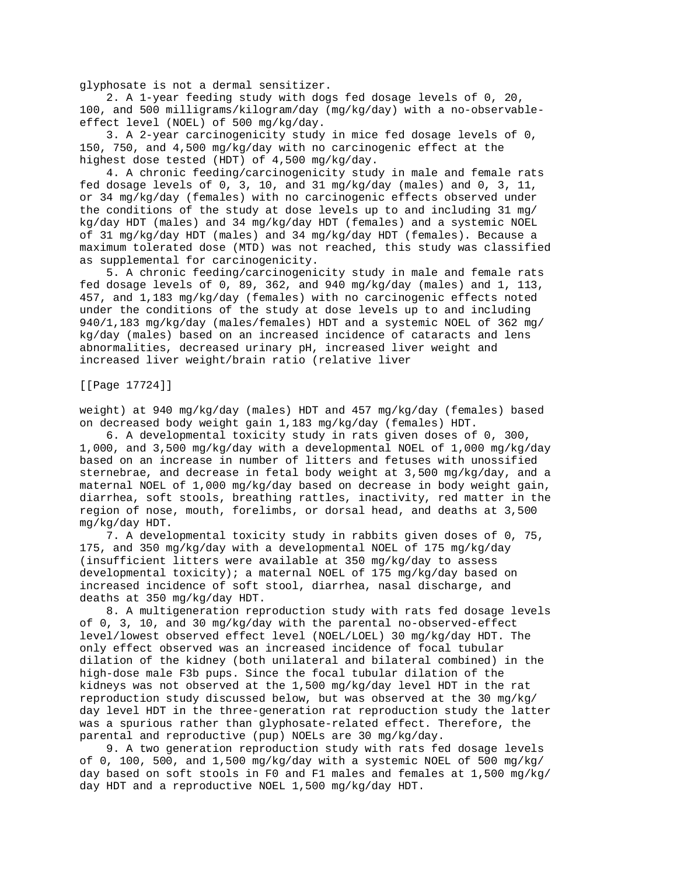glyphosate is not a dermal sensitizer.

 2. A 1-year feeding study with dogs fed dosage levels of 0, 20, 100, and 500 milligrams/kilogram/day (mg/kg/day) with a no-observableeffect level (NOEL) of 500 mg/kg/day.

 3. A 2-year carcinogenicity study in mice fed dosage levels of 0, 150, 750, and 4,500 mg/kg/day with no carcinogenic effect at the highest dose tested (HDT) of 4,500 mg/kg/day.

 4. A chronic feeding/carcinogenicity study in male and female rats fed dosage levels of 0, 3, 10, and 31 mg/kg/day (males) and 0, 3, 11, or 34 mg/kg/day (females) with no carcinogenic effects observed under the conditions of the study at dose levels up to and including 31 mg/ kg/day HDT (males) and 34 mg/kg/day HDT (females) and a systemic NOEL of 31 mg/kg/day HDT (males) and 34 mg/kg/day HDT (females). Because a maximum tolerated dose (MTD) was not reached, this study was classified as supplemental for carcinogenicity.

 5. A chronic feeding/carcinogenicity study in male and female rats fed dosage levels of 0, 89, 362, and 940 mg/kg/day (males) and 1, 113, 457, and 1,183 mg/kg/day (females) with no carcinogenic effects noted under the conditions of the study at dose levels up to and including 940/1,183 mg/kg/day (males/females) HDT and a systemic NOEL of 362 mg/ kg/day (males) based on an increased incidence of cataracts and lens abnormalities, decreased urinary pH, increased liver weight and increased liver weight/brain ratio (relative liver

[[Page 17724]]

weight) at 940 mg/kg/day (males) HDT and 457 mg/kg/day (females) based on decreased body weight gain 1,183 mg/kg/day (females) HDT.

 6. A developmental toxicity study in rats given doses of 0, 300, 1,000, and 3,500 mg/kg/day with a developmental NOEL of 1,000 mg/kg/day based on an increase in number of litters and fetuses with unossified sternebrae, and decrease in fetal body weight at 3,500 mg/kg/day, and a maternal NOEL of 1,000 mg/kg/day based on decrease in body weight gain, diarrhea, soft stools, breathing rattles, inactivity, red matter in the region of nose, mouth, forelimbs, or dorsal head, and deaths at 3,500 mg/kg/day HDT.

 7. A developmental toxicity study in rabbits given doses of 0, 75, 175, and 350 mg/kg/day with a developmental NOEL of 175 mg/kg/day (insufficient litters were available at 350 mg/kg/day to assess developmental toxicity); a maternal NOEL of 175 mg/kg/day based on increased incidence of soft stool, diarrhea, nasal discharge, and deaths at 350 mg/kg/day HDT.

 8. A multigeneration reproduction study with rats fed dosage levels of 0, 3, 10, and 30 mg/kg/day with the parental no-observed-effect level/lowest observed effect level (NOEL/LOEL) 30 mg/kg/day HDT. The only effect observed was an increased incidence of focal tubular dilation of the kidney (both unilateral and bilateral combined) in the high-dose male F3b pups. Since the focal tubular dilation of the kidneys was not observed at the 1,500 mg/kg/day level HDT in the rat reproduction study discussed below, but was observed at the 30 mg/kg/ day level HDT in the three-generation rat reproduction study the latter was a spurious rather than glyphosate-related effect. Therefore, the parental and reproductive (pup) NOELs are 30 mg/kg/day.

 9. A two generation reproduction study with rats fed dosage levels of 0, 100, 500, and 1,500 mg/kg/day with a systemic NOEL of 500 mg/kg/ day based on soft stools in F0 and F1 males and females at 1,500 mg/kg/ day HDT and a reproductive NOEL 1,500 mg/kg/day HDT.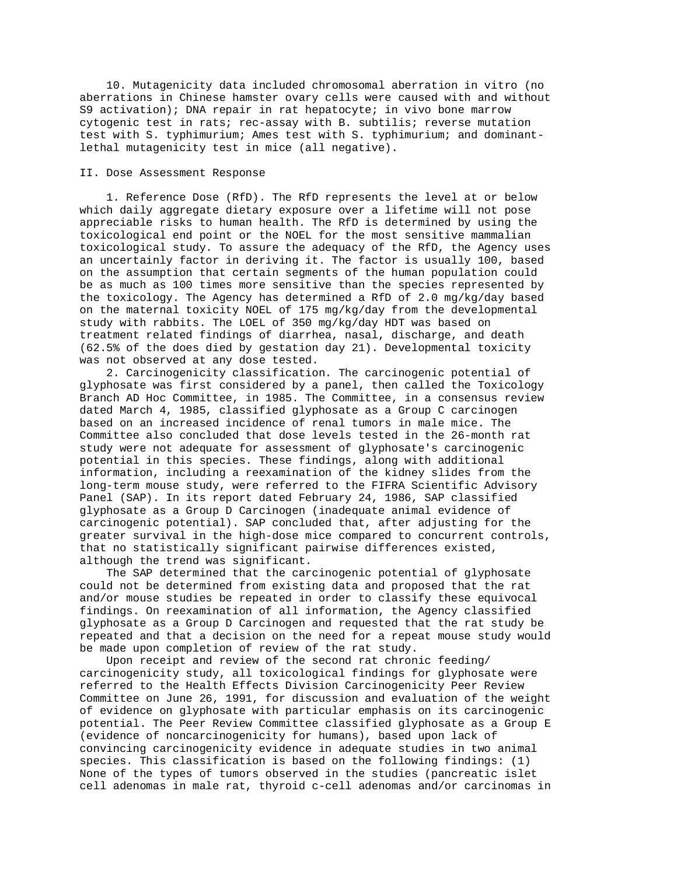10. Mutagenicity data included chromosomal aberration in vitro (no aberrations in Chinese hamster ovary cells were caused with and without S9 activation); DNA repair in rat hepatocyte; in vivo bone marrow cytogenic test in rats; rec-assay with B. subtilis; reverse mutation test with S. typhimurium; Ames test with S. typhimurium; and dominantlethal mutagenicity test in mice (all negative).

#### II. Dose Assessment Response

 1. Reference Dose (RfD). The RfD represents the level at or below which daily aggregate dietary exposure over a lifetime will not pose appreciable risks to human health. The RfD is determined by using the toxicological end point or the NOEL for the most sensitive mammalian toxicological study. To assure the adequacy of the RfD, the Agency uses an uncertainly factor in deriving it. The factor is usually 100, based on the assumption that certain segments of the human population could be as much as 100 times more sensitive than the species represented by the toxicology. The Agency has determined a RfD of 2.0 mg/kg/day based on the maternal toxicity NOEL of 175 mg/kg/day from the developmental study with rabbits. The LOEL of 350 mg/kg/day HDT was based on treatment related findings of diarrhea, nasal, discharge, and death (62.5% of the does died by gestation day 21). Developmental toxicity was not observed at any dose tested.

 2. Carcinogenicity classification. The carcinogenic potential of glyphosate was first considered by a panel, then called the Toxicology Branch AD Hoc Committee, in 1985. The Committee, in a consensus review dated March 4, 1985, classified glyphosate as a Group C carcinogen based on an increased incidence of renal tumors in male mice. The Committee also concluded that dose levels tested in the 26-month rat study were not adequate for assessment of glyphosate's carcinogenic potential in this species. These findings, along with additional information, including a reexamination of the kidney slides from the long-term mouse study, were referred to the FIFRA Scientific Advisory Panel (SAP). In its report dated February 24, 1986, SAP classified glyphosate as a Group D Carcinogen (inadequate animal evidence of carcinogenic potential). SAP concluded that, after adjusting for the greater survival in the high-dose mice compared to concurrent controls, that no statistically significant pairwise differences existed, although the trend was significant.

 The SAP determined that the carcinogenic potential of glyphosate could not be determined from existing data and proposed that the rat and/or mouse studies be repeated in order to classify these equivocal findings. On reexamination of all information, the Agency classified glyphosate as a Group D Carcinogen and requested that the rat study be repeated and that a decision on the need for a repeat mouse study would be made upon completion of review of the rat study.

 Upon receipt and review of the second rat chronic feeding/ carcinogenicity study, all toxicological findings for glyphosate were referred to the Health Effects Division Carcinogenicity Peer Review Committee on June 26, 1991, for discussion and evaluation of the weight of evidence on glyphosate with particular emphasis on its carcinogenic potential. The Peer Review Committee classified glyphosate as a Group E (evidence of noncarcinogenicity for humans), based upon lack of convincing carcinogenicity evidence in adequate studies in two animal species. This classification is based on the following findings: (1) None of the types of tumors observed in the studies (pancreatic islet cell adenomas in male rat, thyroid c-cell adenomas and/or carcinomas in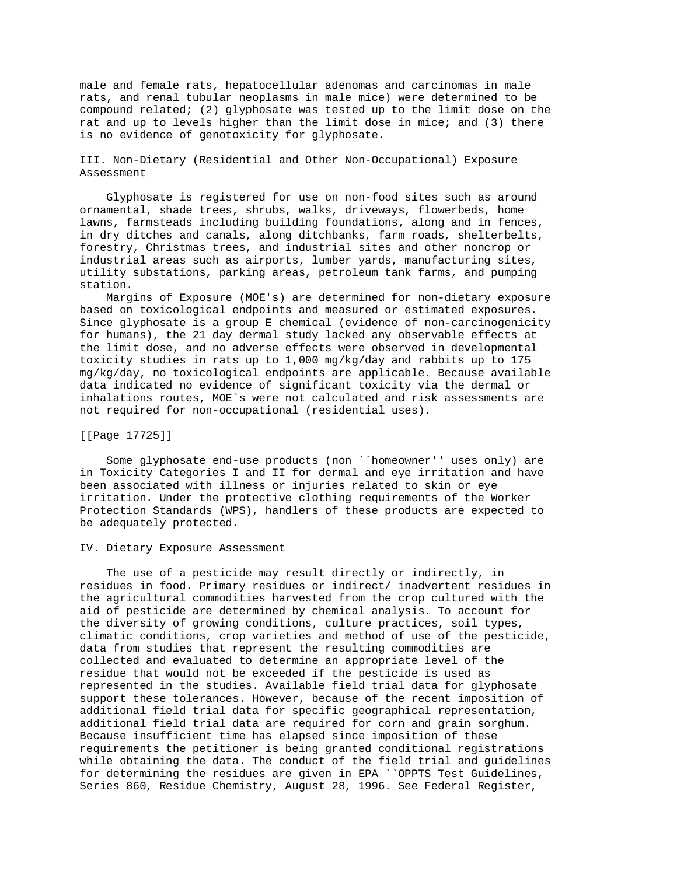male and female rats, hepatocellular adenomas and carcinomas in male rats, and renal tubular neoplasms in male mice) were determined to be compound related; (2) glyphosate was tested up to the limit dose on the rat and up to levels higher than the limit dose in mice; and (3) there is no evidence of genotoxicity for glyphosate.

# III. Non-Dietary (Residential and Other Non-Occupational) Exposure Assessment

 Glyphosate is registered for use on non-food sites such as around ornamental, shade trees, shrubs, walks, driveways, flowerbeds, home lawns, farmsteads including building foundations, along and in fences, in dry ditches and canals, along ditchbanks, farm roads, shelterbelts, forestry, Christmas trees, and industrial sites and other noncrop or industrial areas such as airports, lumber yards, manufacturing sites, utility substations, parking areas, petroleum tank farms, and pumping station.

 Margins of Exposure (MOE's) are determined for non-dietary exposure based on toxicological endpoints and measured or estimated exposures. Since glyphosate is a group E chemical (evidence of non-carcinogenicity for humans), the 21 day dermal study lacked any observable effects at the limit dose, and no adverse effects were observed in developmental toxicity studies in rats up to 1,000 mg/kg/day and rabbits up to 175 mg/kg/day, no toxicological endpoints are applicable. Because available data indicated no evidence of significant toxicity via the dermal or inhalations routes, MOE`s were not calculated and risk assessments are not required for non-occupational (residential uses).

## [[Page 17725]]

 Some glyphosate end-use products (non ``homeowner'' uses only) are in Toxicity Categories I and II for dermal and eye irritation and have been associated with illness or injuries related to skin or eye irritation. Under the protective clothing requirements of the Worker Protection Standards (WPS), handlers of these products are expected to be adequately protected.

#### IV. Dietary Exposure Assessment

 The use of a pesticide may result directly or indirectly, in residues in food. Primary residues or indirect/ inadvertent residues in the agricultural commodities harvested from the crop cultured with the aid of pesticide are determined by chemical analysis. To account for the diversity of growing conditions, culture practices, soil types, climatic conditions, crop varieties and method of use of the pesticide, data from studies that represent the resulting commodities are collected and evaluated to determine an appropriate level of the residue that would not be exceeded if the pesticide is used as represented in the studies. Available field trial data for glyphosate support these tolerances. However, because of the recent imposition of additional field trial data for specific geographical representation, additional field trial data are required for corn and grain sorghum. Because insufficient time has elapsed since imposition of these requirements the petitioner is being granted conditional registrations while obtaining the data. The conduct of the field trial and guidelines for determining the residues are given in EPA ``OPPTS Test Guidelines, Series 860, Residue Chemistry, August 28, 1996. See Federal Register,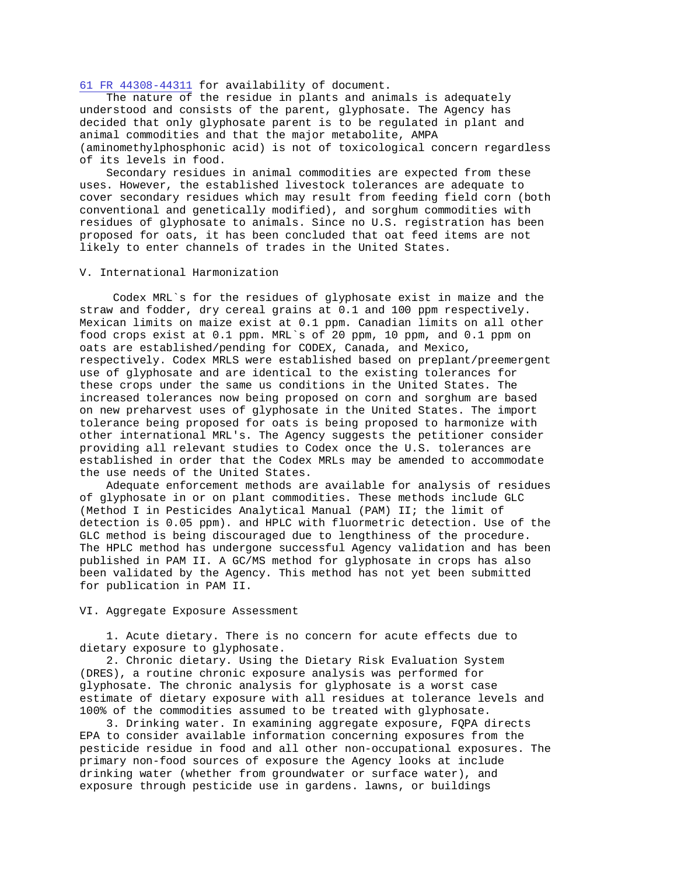[61 FR 44308-44311](http://www.epa.gov/fedrgstr/EPA-PEST/1996/August/Day-28/pr-858.html) for availability of document.

 The nature of the residue in plants and animals is adequately understood and consists of the parent, glyphosate. The Agency has decided that only glyphosate parent is to be regulated in plant and animal commodities and that the major metabolite, AMPA (aminomethylphosphonic acid) is not of toxicological concern regardless of its levels in food.

 Secondary residues in animal commodities are expected from these uses. However, the established livestock tolerances are adequate to cover secondary residues which may result from feeding field corn (both conventional and genetically modified), and sorghum commodities with residues of glyphosate to animals. Since no U.S. registration has been proposed for oats, it has been concluded that oat feed items are not likely to enter channels of trades in the United States.

## V. International Harmonization

 Codex MRL`s for the residues of glyphosate exist in maize and the straw and fodder, dry cereal grains at 0.1 and 100 ppm respectively. Mexican limits on maize exist at 0.1 ppm. Canadian limits on all other food crops exist at 0.1 ppm. MRL`s of 20 ppm, 10 ppm, and 0.1 ppm on oats are established/pending for CODEX, Canada, and Mexico, respectively. Codex MRLS were established based on preplant/preemergent use of glyphosate and are identical to the existing tolerances for these crops under the same us conditions in the United States. The increased tolerances now being proposed on corn and sorghum are based on new preharvest uses of glyphosate in the United States. The import tolerance being proposed for oats is being proposed to harmonize with other international MRL's. The Agency suggests the petitioner consider providing all relevant studies to Codex once the U.S. tolerances are established in order that the Codex MRLs may be amended to accommodate the use needs of the United States.

 Adequate enforcement methods are available for analysis of residues of glyphosate in or on plant commodities. These methods include GLC (Method I in Pesticides Analytical Manual (PAM) II; the limit of detection is 0.05 ppm). and HPLC with fluormetric detection. Use of the GLC method is being discouraged due to lengthiness of the procedure. The HPLC method has undergone successful Agency validation and has been published in PAM II. A GC/MS method for glyphosate in crops has also been validated by the Agency. This method has not yet been submitted for publication in PAM II.

#### VI. Aggregate Exposure Assessment

 1. Acute dietary. There is no concern for acute effects due to dietary exposure to glyphosate.

 2. Chronic dietary. Using the Dietary Risk Evaluation System (DRES), a routine chronic exposure analysis was performed for glyphosate. The chronic analysis for glyphosate is a worst case estimate of dietary exposure with all residues at tolerance levels and 100% of the commodities assumed to be treated with glyphosate.

 3. Drinking water. In examining aggregate exposure, FQPA directs EPA to consider available information concerning exposures from the pesticide residue in food and all other non-occupational exposures. The primary non-food sources of exposure the Agency looks at include drinking water (whether from groundwater or surface water), and exposure through pesticide use in gardens. lawns, or buildings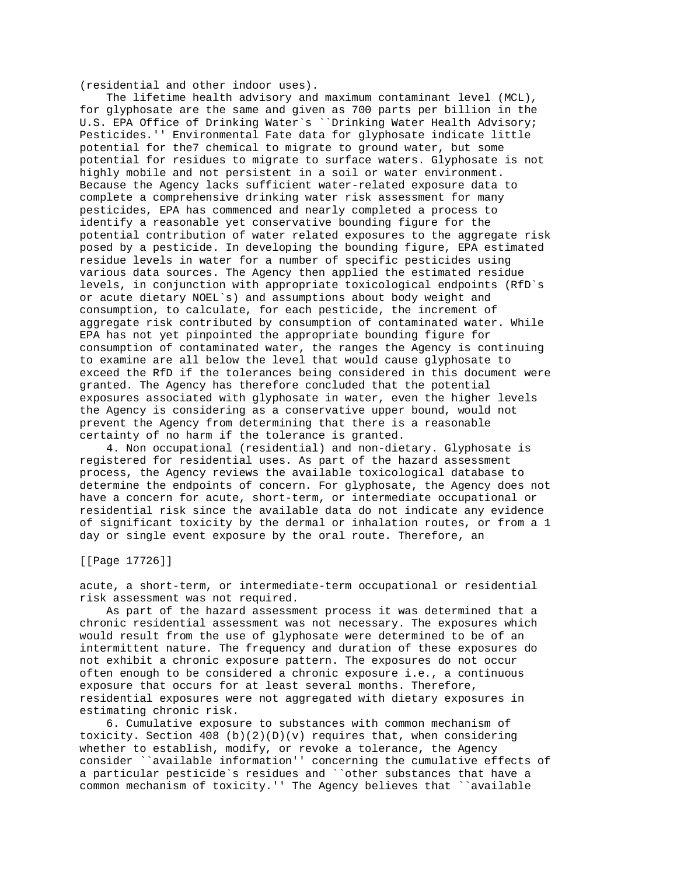(residential and other indoor uses).

 The lifetime health advisory and maximum contaminant level (MCL), for glyphosate are the same and given as 700 parts per billion in the U.S. EPA Office of Drinking Water`s ``Drinking Water Health Advisory; Pesticides.'' Environmental Fate data for glyphosate indicate little potential for the7 chemical to migrate to ground water, but some potential for residues to migrate to surface waters. Glyphosate is not highly mobile and not persistent in a soil or water environment. Because the Agency lacks sufficient water-related exposure data to complete a comprehensive drinking water risk assessment for many pesticides, EPA has commenced and nearly completed a process to identify a reasonable yet conservative bounding figure for the potential contribution of water related exposures to the aggregate risk posed by a pesticide. In developing the bounding figure, EPA estimated residue levels in water for a number of specific pesticides using various data sources. The Agency then applied the estimated residue levels, in conjunction with appropriate toxicological endpoints (RfD`s or acute dietary NOEL`s) and assumptions about body weight and consumption, to calculate, for each pesticide, the increment of aggregate risk contributed by consumption of contaminated water. While EPA has not yet pinpointed the appropriate bounding figure for consumption of contaminated water, the ranges the Agency is continuing to examine are all below the level that would cause glyphosate to exceed the RfD if the tolerances being considered in this document were granted. The Agency has therefore concluded that the potential exposures associated with glyphosate in water, even the higher levels the Agency is considering as a conservative upper bound, would not prevent the Agency from determining that there is a reasonable certainty of no harm if the tolerance is granted.

 4. Non occupational (residential) and non-dietary. Glyphosate is registered for residential uses. As part of the hazard assessment process, the Agency reviews the available toxicological database to determine the endpoints of concern. For glyphosate, the Agency does not have a concern for acute, short-term, or intermediate occupational or residential risk since the available data do not indicate any evidence of significant toxicity by the dermal or inhalation routes, or from a 1 day or single event exposure by the oral route. Therefore, an

[[Page 17726]]

acute, a short-term, or intermediate-term occupational or residential risk assessment was not required.

 As part of the hazard assessment process it was determined that a chronic residential assessment was not necessary. The exposures which would result from the use of glyphosate were determined to be of an intermittent nature. The frequency and duration of these exposures do not exhibit a chronic exposure pattern. The exposures do not occur often enough to be considered a chronic exposure i.e., a continuous exposure that occurs for at least several months. Therefore, residential exposures were not aggregated with dietary exposures in estimating chronic risk.

 6. Cumulative exposure to substances with common mechanism of toxicity. Section 408 (b)(2)(D)(v) requires that, when considering whether to establish, modify, or revoke a tolerance, the Agency consider ``available information'' concerning the cumulative effects of a particular pesticide`s residues and ``other substances that have a common mechanism of toxicity.'' The Agency believes that ``available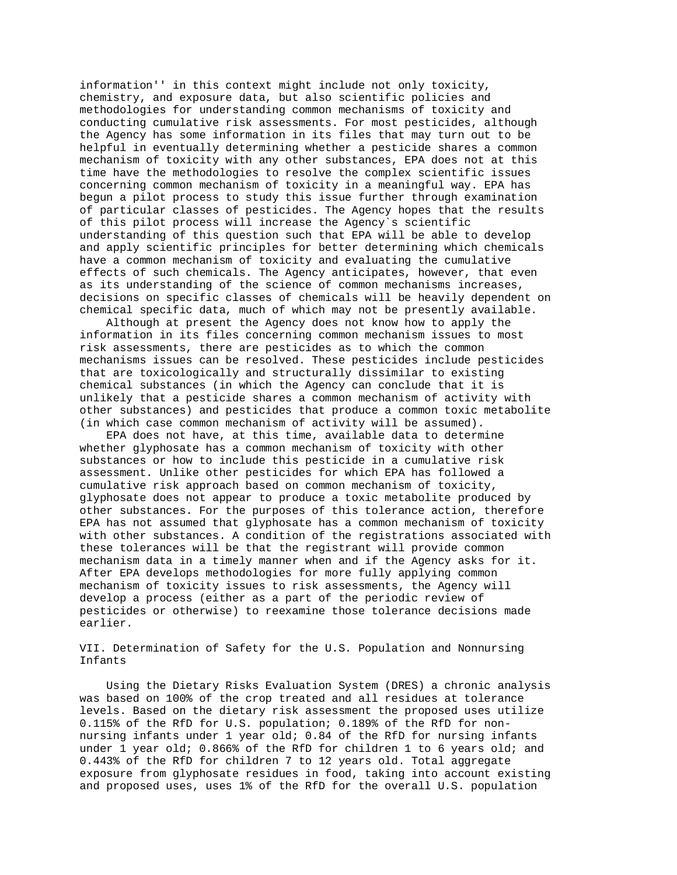information'' in this context might include not only toxicity, chemistry, and exposure data, but also scientific policies and methodologies for understanding common mechanisms of toxicity and conducting cumulative risk assessments. For most pesticides, although the Agency has some information in its files that may turn out to be helpful in eventually determining whether a pesticide shares a common mechanism of toxicity with any other substances, EPA does not at this time have the methodologies to resolve the complex scientific issues concerning common mechanism of toxicity in a meaningful way. EPA has begun a pilot process to study this issue further through examination of particular classes of pesticides. The Agency hopes that the results of this pilot process will increase the Agency`s scientific understanding of this question such that EPA will be able to develop and apply scientific principles for better determining which chemicals have a common mechanism of toxicity and evaluating the cumulative effects of such chemicals. The Agency anticipates, however, that even as its understanding of the science of common mechanisms increases, decisions on specific classes of chemicals will be heavily dependent on chemical specific data, much of which may not be presently available.

 Although at present the Agency does not know how to apply the information in its files concerning common mechanism issues to most risk assessments, there are pesticides as to which the common mechanisms issues can be resolved. These pesticides include pesticides that are toxicologically and structurally dissimilar to existing chemical substances (in which the Agency can conclude that it is unlikely that a pesticide shares a common mechanism of activity with other substances) and pesticides that produce a common toxic metabolite (in which case common mechanism of activity will be assumed).

 EPA does not have, at this time, available data to determine whether glyphosate has a common mechanism of toxicity with other substances or how to include this pesticide in a cumulative risk assessment. Unlike other pesticides for which EPA has followed a cumulative risk approach based on common mechanism of toxicity, glyphosate does not appear to produce a toxic metabolite produced by other substances. For the purposes of this tolerance action, therefore EPA has not assumed that glyphosate has a common mechanism of toxicity with other substances. A condition of the registrations associated with these tolerances will be that the registrant will provide common mechanism data in a timely manner when and if the Agency asks for it. After EPA develops methodologies for more fully applying common mechanism of toxicity issues to risk assessments, the Agency will develop a process (either as a part of the periodic review of pesticides or otherwise) to reexamine those tolerance decisions made earlier.

VII. Determination of Safety for the U.S. Population and Nonnursing Infants

 Using the Dietary Risks Evaluation System (DRES) a chronic analysis was based on 100% of the crop treated and all residues at tolerance levels. Based on the dietary risk assessment the proposed uses utilize 0.115% of the RfD for U.S. population; 0.189% of the RfD for nonnursing infants under 1 year old; 0.84 of the RfD for nursing infants under 1 year old; 0.866% of the RfD for children 1 to 6 years old; and 0.443% of the RfD for children 7 to 12 years old. Total aggregate exposure from glyphosate residues in food, taking into account existing and proposed uses, uses 1% of the RfD for the overall U.S. population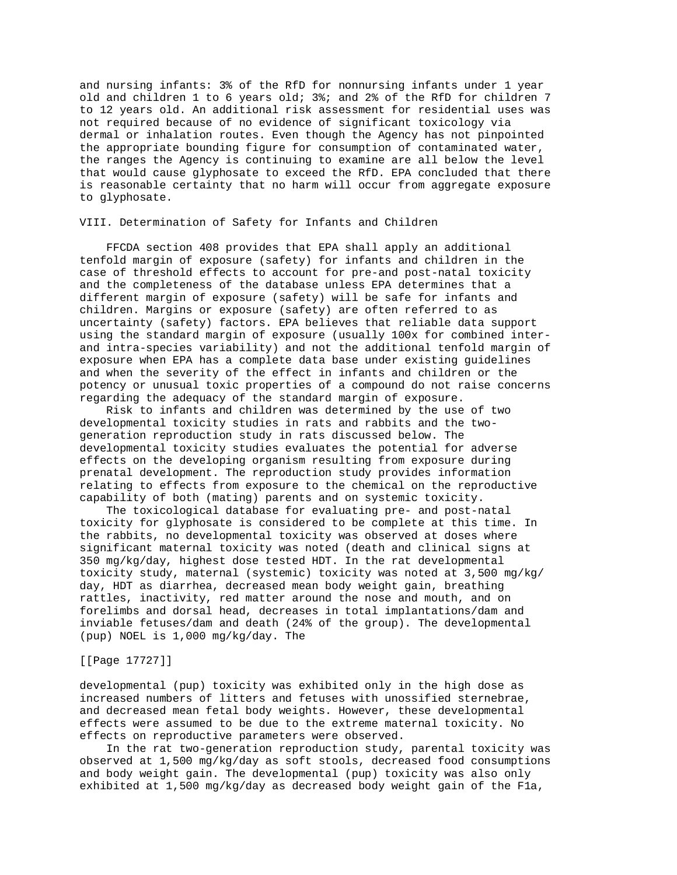and nursing infants: 3% of the RfD for nonnursing infants under 1 year old and children 1 to 6 years old; 3%; and 2% of the RfD for children 7 to 12 years old. An additional risk assessment for residential uses was not required because of no evidence of significant toxicology via dermal or inhalation routes. Even though the Agency has not pinpointed the appropriate bounding figure for consumption of contaminated water, the ranges the Agency is continuing to examine are all below the level that would cause glyphosate to exceed the RfD. EPA concluded that there is reasonable certainty that no harm will occur from aggregate exposure to glyphosate.

## VIII. Determination of Safety for Infants and Children

 FFCDA section 408 provides that EPA shall apply an additional tenfold margin of exposure (safety) for infants and children in the case of threshold effects to account for pre-and post-natal toxicity and the completeness of the database unless EPA determines that a different margin of exposure (safety) will be safe for infants and children. Margins or exposure (safety) are often referred to as uncertainty (safety) factors. EPA believes that reliable data support using the standard margin of exposure (usually 100x for combined interand intra-species variability) and not the additional tenfold margin of exposure when EPA has a complete data base under existing guidelines and when the severity of the effect in infants and children or the potency or unusual toxic properties of a compound do not raise concerns regarding the adequacy of the standard margin of exposure.

 Risk to infants and children was determined by the use of two developmental toxicity studies in rats and rabbits and the twogeneration reproduction study in rats discussed below. The developmental toxicity studies evaluates the potential for adverse effects on the developing organism resulting from exposure during prenatal development. The reproduction study provides information relating to effects from exposure to the chemical on the reproductive capability of both (mating) parents and on systemic toxicity.

 The toxicological database for evaluating pre- and post-natal toxicity for glyphosate is considered to be complete at this time. In the rabbits, no developmental toxicity was observed at doses where significant maternal toxicity was noted (death and clinical signs at 350 mg/kg/day, highest dose tested HDT. In the rat developmental toxicity study, maternal (systemic) toxicity was noted at 3,500 mg/kg/ day, HDT as diarrhea, decreased mean body weight gain, breathing rattles, inactivity, red matter around the nose and mouth, and on forelimbs and dorsal head, decreases in total implantations/dam and inviable fetuses/dam and death (24% of the group). The developmental (pup) NOEL is 1,000 mg/kg/day. The

## [[Page 17727]]

developmental (pup) toxicity was exhibited only in the high dose as increased numbers of litters and fetuses with unossified sternebrae, and decreased mean fetal body weights. However, these developmental effects were assumed to be due to the extreme maternal toxicity. No effects on reproductive parameters were observed.

 In the rat two-generation reproduction study, parental toxicity was observed at 1,500 mg/kg/day as soft stools, decreased food consumptions and body weight gain. The developmental (pup) toxicity was also only exhibited at 1,500 mg/kg/day as decreased body weight gain of the F1a,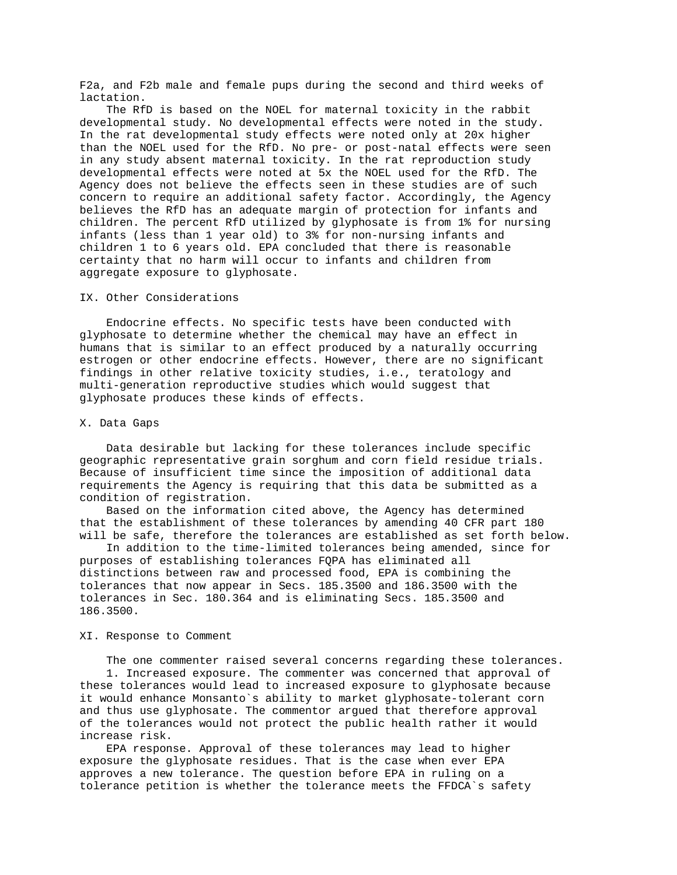F2a, and F2b male and female pups during the second and third weeks of lactation.

 The RfD is based on the NOEL for maternal toxicity in the rabbit developmental study. No developmental effects were noted in the study. In the rat developmental study effects were noted only at 20x higher than the NOEL used for the RfD. No pre- or post-natal effects were seen in any study absent maternal toxicity. In the rat reproduction study developmental effects were noted at 5x the NOEL used for the RfD. The Agency does not believe the effects seen in these studies are of such concern to require an additional safety factor. Accordingly, the Agency believes the RfD has an adequate margin of protection for infants and children. The percent RfD utilized by glyphosate is from 1% for nursing infants (less than 1 year old) to 3% for non-nursing infants and children 1 to 6 years old. EPA concluded that there is reasonable certainty that no harm will occur to infants and children from aggregate exposure to glyphosate.

## IX. Other Considerations

 Endocrine effects. No specific tests have been conducted with glyphosate to determine whether the chemical may have an effect in humans that is similar to an effect produced by a naturally occurring estrogen or other endocrine effects. However, there are no significant findings in other relative toxicity studies, i.e., teratology and multi-generation reproductive studies which would suggest that glyphosate produces these kinds of effects.

#### X. Data Gaps

 Data desirable but lacking for these tolerances include specific geographic representative grain sorghum and corn field residue trials. Because of insufficient time since the imposition of additional data requirements the Agency is requiring that this data be submitted as a condition of registration.

 Based on the information cited above, the Agency has determined that the establishment of these tolerances by amending 40 CFR part 180 will be safe, therefore the tolerances are established as set forth below.

 In addition to the time-limited tolerances being amended, since for purposes of establishing tolerances FQPA has eliminated all distinctions between raw and processed food, EPA is combining the tolerances that now appear in Secs. 185.3500 and 186.3500 with the tolerances in Sec. 180.364 and is eliminating Secs. 185.3500 and 186.3500.

## XI. Response to Comment

 The one commenter raised several concerns regarding these tolerances. 1. Increased exposure. The commenter was concerned that approval of these tolerances would lead to increased exposure to glyphosate because it would enhance Monsanto`s ability to market glyphosate-tolerant corn and thus use glyphosate. The commentor argued that therefore approval of the tolerances would not protect the public health rather it would increase risk.

 EPA response. Approval of these tolerances may lead to higher exposure the glyphosate residues. That is the case when ever EPA approves a new tolerance. The question before EPA in ruling on a tolerance petition is whether the tolerance meets the FFDCA`s safety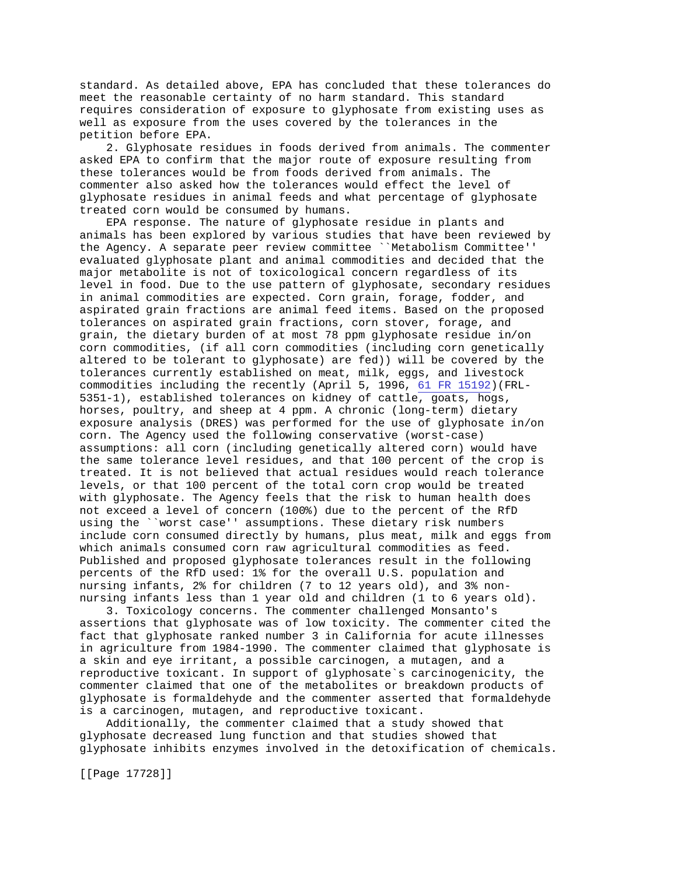standard. As detailed above, EPA has concluded that these tolerances do meet the reasonable certainty of no harm standard. This standard requires consideration of exposure to glyphosate from existing uses as well as exposure from the uses covered by the tolerances in the petition before EPA.

 2. Glyphosate residues in foods derived from animals. The commenter asked EPA to confirm that the major route of exposure resulting from these tolerances would be from foods derived from animals. The commenter also asked how the tolerances would effect the level of glyphosate residues in animal feeds and what percentage of glyphosate treated corn would be consumed by humans.

 EPA response. The nature of glyphosate residue in plants and animals has been explored by various studies that have been reviewed by the Agency. A separate peer review committee ``Metabolism Committee'' evaluated glyphosate plant and animal commodities and decided that the major metabolite is not of toxicological concern regardless of its level in food. Due to the use pattern of glyphosate, secondary residues in animal commodities are expected. Corn grain, forage, fodder, and aspirated grain fractions are animal feed items. Based on the proposed tolerances on aspirated grain fractions, corn stover, forage, and grain, the dietary burden of at most 78 ppm glyphosate residue in/on corn commodities, (if all corn commodities (including corn genetically altered to be tolerant to glyphosate) are fed)) will be covered by the tolerances currently established on meat, milk, eggs, and livestock commodities including the recently (April 5, 1996, [61 FR 15192\)](http://www.epa.gov/fedrgstr/EPA-PEST/1996/April/Day-05/pr-636.html)(FRL-5351-1), established tolerances on kidney of cattle, goats, hogs, horses, poultry, and sheep at 4 ppm. A chronic (long-term) dietary exposure analysis (DRES) was performed for the use of glyphosate in/on corn. The Agency used the following conservative (worst-case) assumptions: all corn (including genetically altered corn) would have the same tolerance level residues, and that 100 percent of the crop is treated. It is not believed that actual residues would reach tolerance levels, or that 100 percent of the total corn crop would be treated with glyphosate. The Agency feels that the risk to human health does not exceed a level of concern (100%) due to the percent of the RfD using the ``worst case'' assumptions. These dietary risk numbers include corn consumed directly by humans, plus meat, milk and eggs from which animals consumed corn raw agricultural commodities as feed. Published and proposed glyphosate tolerances result in the following percents of the RfD used: 1% for the overall U.S. population and nursing infants, 2% for children (7 to 12 years old), and 3% nonnursing infants less than 1 year old and children (1 to 6 years old).

 3. Toxicology concerns. The commenter challenged Monsanto's assertions that glyphosate was of low toxicity. The commenter cited the fact that glyphosate ranked number 3 in California for acute illnesses in agriculture from 1984-1990. The commenter claimed that glyphosate is a skin and eye irritant, a possible carcinogen, a mutagen, and a reproductive toxicant. In support of glyphosate`s carcinogenicity, the commenter claimed that one of the metabolites or breakdown products of glyphosate is formaldehyde and the commenter asserted that formaldehyde is a carcinogen, mutagen, and reproductive toxicant.

 Additionally, the commenter claimed that a study showed that glyphosate decreased lung function and that studies showed that glyphosate inhibits enzymes involved in the detoxification of chemicals.

[[Page 17728]]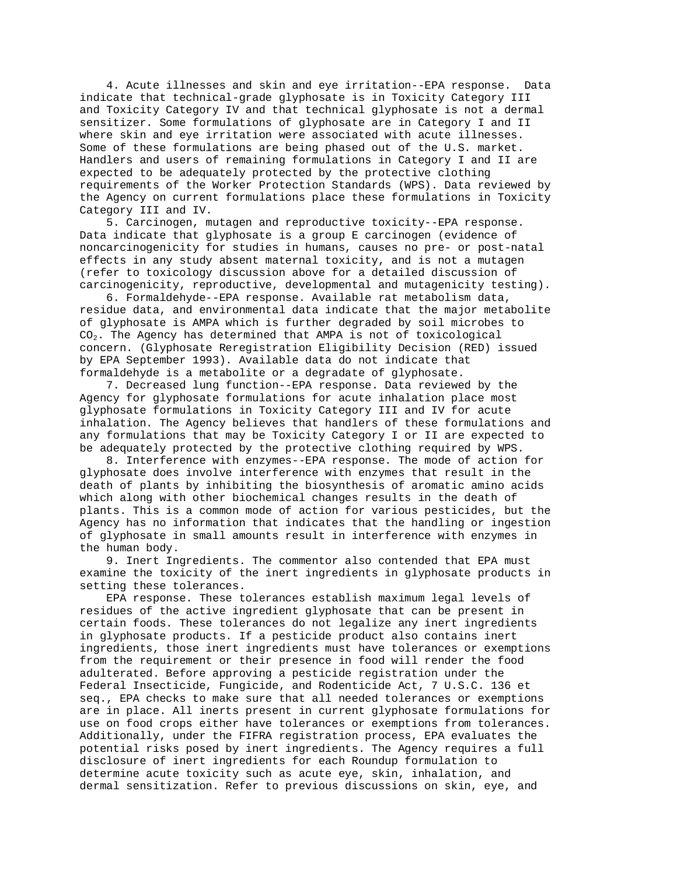4. Acute illnesses and skin and eye irritation--EPA response. Data indicate that technical-grade glyphosate is in Toxicity Category III and Toxicity Category IV and that technical glyphosate is not a dermal sensitizer. Some formulations of glyphosate are in Category I and II where skin and eye irritation were associated with acute illnesses. Some of these formulations are being phased out of the U.S. market. Handlers and users of remaining formulations in Category I and II are expected to be adequately protected by the protective clothing requirements of the Worker Protection Standards (WPS). Data reviewed by the Agency on current formulations place these formulations in Toxicity Category III and IV.

 5. Carcinogen, mutagen and reproductive toxicity--EPA response. Data indicate that glyphosate is a group E carcinogen (evidence of noncarcinogenicity for studies in humans, causes no pre- or post-natal effects in any study absent maternal toxicity, and is not a mutagen (refer to toxicology discussion above for a detailed discussion of carcinogenicity, reproductive, developmental and mutagenicity testing).

 6. Formaldehyde--EPA response. Available rat metabolism data, residue data, and environmental data indicate that the major metabolite of glyphosate is AMPA which is further degraded by soil microbes to CO2. The Agency has determined that AMPA is not of toxicological concern. (Glyphosate Reregistration Eligibility Decision (RED) issued by EPA September 1993). Available data do not indicate that formaldehyde is a metabolite or a degradate of glyphosate.

 7. Decreased lung function--EPA response. Data reviewed by the Agency for glyphosate formulations for acute inhalation place most glyphosate formulations in Toxicity Category III and IV for acute inhalation. The Agency believes that handlers of these formulations and any formulations that may be Toxicity Category I or II are expected to be adequately protected by the protective clothing required by WPS.

 8. Interference with enzymes--EPA response. The mode of action for glyphosate does involve interference with enzymes that result in the death of plants by inhibiting the biosynthesis of aromatic amino acids which along with other biochemical changes results in the death of plants. This is a common mode of action for various pesticides, but the Agency has no information that indicates that the handling or ingestion of glyphosate in small amounts result in interference with enzymes in the human body.

 9. Inert Ingredients. The commentor also contended that EPA must examine the toxicity of the inert ingredients in glyphosate products in setting these tolerances.

 EPA response. These tolerances establish maximum legal levels of residues of the active ingredient glyphosate that can be present in certain foods. These tolerances do not legalize any inert ingredients in glyphosate products. If a pesticide product also contains inert ingredients, those inert ingredients must have tolerances or exemptions from the requirement or their presence in food will render the food adulterated. Before approving a pesticide registration under the Federal Insecticide, Fungicide, and Rodenticide Act, 7 U.S.C. 136 et seq., EPA checks to make sure that all needed tolerances or exemptions are in place. All inerts present in current glyphosate formulations for use on food crops either have tolerances or exemptions from tolerances. Additionally, under the FIFRA registration process, EPA evaluates the potential risks posed by inert ingredients. The Agency requires a full disclosure of inert ingredients for each Roundup formulation to determine acute toxicity such as acute eye, skin, inhalation, and dermal sensitization. Refer to previous discussions on skin, eye, and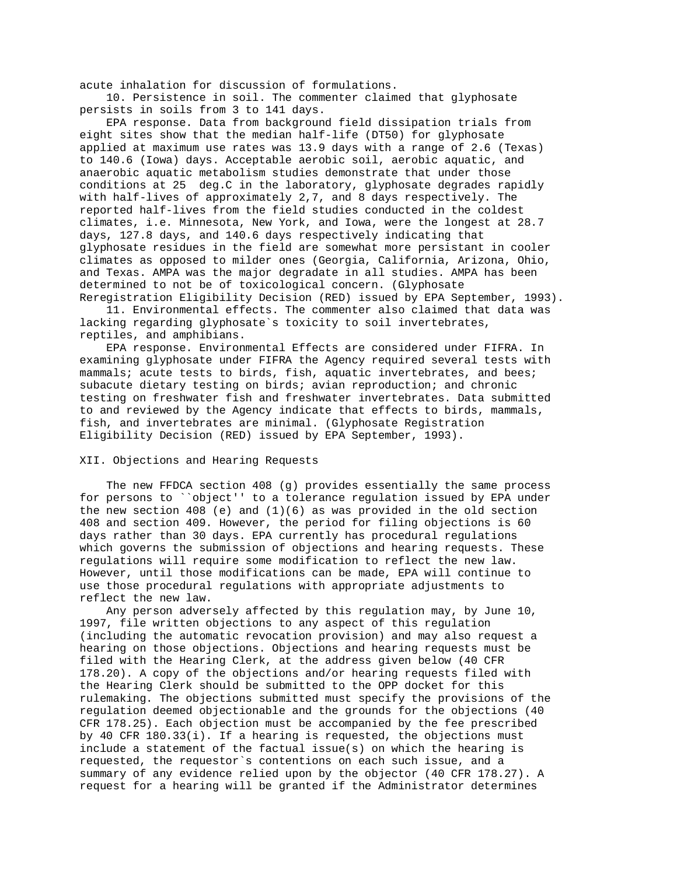acute inhalation for discussion of formulations.

 10. Persistence in soil. The commenter claimed that glyphosate persists in soils from 3 to 141 days.

 EPA response. Data from background field dissipation trials from eight sites show that the median half-life (DT50) for glyphosate applied at maximum use rates was 13.9 days with a range of 2.6 (Texas) to 140.6 (Iowa) days. Acceptable aerobic soil, aerobic aquatic, and anaerobic aquatic metabolism studies demonstrate that under those conditions at 25 deg.C in the laboratory, glyphosate degrades rapidly with half-lives of approximately 2,7, and 8 days respectively. The reported half-lives from the field studies conducted in the coldest climates, i.e. Minnesota, New York, and Iowa, were the longest at 28.7 days, 127.8 days, and 140.6 days respectively indicating that glyphosate residues in the field are somewhat more persistant in cooler climates as opposed to milder ones (Georgia, California, Arizona, Ohio, and Texas. AMPA was the major degradate in all studies. AMPA has been determined to not be of toxicological concern. (Glyphosate Reregistration Eligibility Decision (RED) issued by EPA September, 1993).

 11. Environmental effects. The commenter also claimed that data was lacking regarding glyphosate`s toxicity to soil invertebrates, reptiles, and amphibians.

 EPA response. Environmental Effects are considered under FIFRA. In examining glyphosate under FIFRA the Agency required several tests with mammals; acute tests to birds, fish, aquatic invertebrates, and bees; subacute dietary testing on birds; avian reproduction; and chronic testing on freshwater fish and freshwater invertebrates. Data submitted to and reviewed by the Agency indicate that effects to birds, mammals, fish, and invertebrates are minimal. (Glyphosate Registration Eligibility Decision (RED) issued by EPA September, 1993).

## XII. Objections and Hearing Requests

 The new FFDCA section 408 (g) provides essentially the same process for persons to ``object'' to a tolerance regulation issued by EPA under the new section 408 (e) and  $(1)(6)$  as was provided in the old section 408 and section 409. However, the period for filing objections is 60 days rather than 30 days. EPA currently has procedural regulations which governs the submission of objections and hearing requests. These regulations will require some modification to reflect the new law. However, until those modifications can be made, EPA will continue to use those procedural regulations with appropriate adjustments to reflect the new law.

 Any person adversely affected by this regulation may, by June 10, 1997, file written objections to any aspect of this regulation (including the automatic revocation provision) and may also request a hearing on those objections. Objections and hearing requests must be filed with the Hearing Clerk, at the address given below (40 CFR 178.20). A copy of the objections and/or hearing requests filed with the Hearing Clerk should be submitted to the OPP docket for this rulemaking. The objections submitted must specify the provisions of the regulation deemed objectionable and the grounds for the objections (40 CFR 178.25). Each objection must be accompanied by the fee prescribed by 40 CFR 180.33(i). If a hearing is requested, the objections must include a statement of the factual issue(s) on which the hearing is requested, the requestor`s contentions on each such issue, and a summary of any evidence relied upon by the objector (40 CFR 178.27). A request for a hearing will be granted if the Administrator determines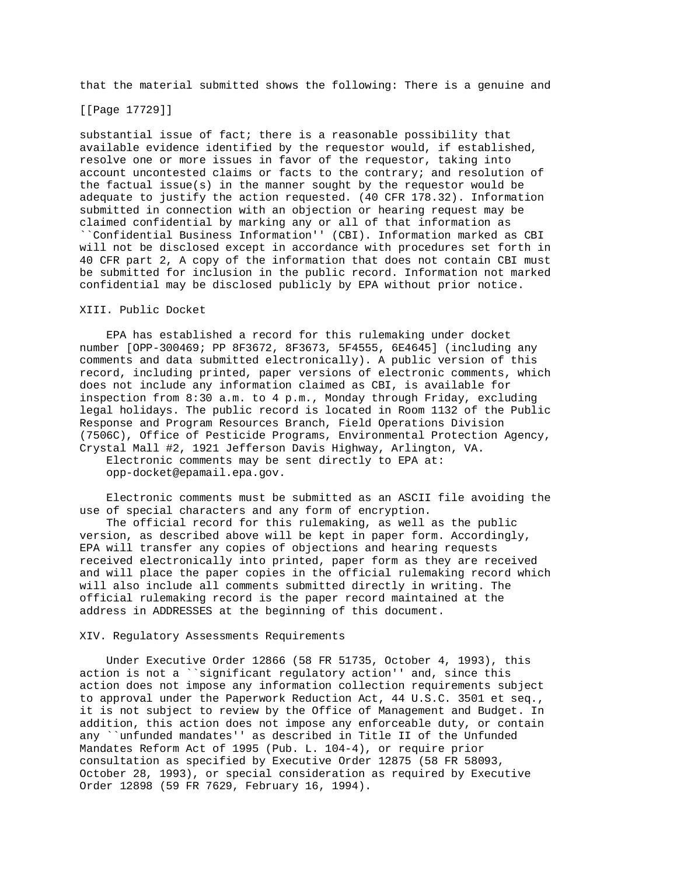that the material submitted shows the following: There is a genuine and

#### [[Page 17729]]

substantial issue of fact; there is a reasonable possibility that available evidence identified by the requestor would, if established, resolve one or more issues in favor of the requestor, taking into account uncontested claims or facts to the contrary; and resolution of the factual issue(s) in the manner sought by the requestor would be adequate to justify the action requested. (40 CFR 178.32). Information submitted in connection with an objection or hearing request may be claimed confidential by marking any or all of that information as ``Confidential Business Information'' (CBI). Information marked as CBI will not be disclosed except in accordance with procedures set forth in 40 CFR part 2, A copy of the information that does not contain CBI must be submitted for inclusion in the public record. Information not marked confidential may be disclosed publicly by EPA without prior notice.

# XIII. Public Docket

 EPA has established a record for this rulemaking under docket number [OPP-300469; PP 8F3672, 8F3673, 5F4555, 6E4645] (including any comments and data submitted electronically). A public version of this record, including printed, paper versions of electronic comments, which does not include any information claimed as CBI, is available for inspection from 8:30 a.m. to 4 p.m., Monday through Friday, excluding legal holidays. The public record is located in Room 1132 of the Public Response and Program Resources Branch, Field Operations Division (7506C), Office of Pesticide Programs, Environmental Protection Agency, Crystal Mall #2, 1921 Jefferson Davis Highway, Arlington, VA.

 Electronic comments may be sent directly to EPA at: opp-docket@epamail.epa.gov.

 Electronic comments must be submitted as an ASCII file avoiding the use of special characters and any form of encryption.

 The official record for this rulemaking, as well as the public version, as described above will be kept in paper form. Accordingly, EPA will transfer any copies of objections and hearing requests received electronically into printed, paper form as they are received and will place the paper copies in the official rulemaking record which will also include all comments submitted directly in writing. The official rulemaking record is the paper record maintained at the address in ADDRESSES at the beginning of this document.

## XIV. Regulatory Assessments Requirements

 Under Executive Order 12866 (58 FR 51735, October 4, 1993), this action is not a ``significant regulatory action'' and, since this action does not impose any information collection requirements subject to approval under the Paperwork Reduction Act, 44 U.S.C. 3501 et seq., it is not subject to review by the Office of Management and Budget. In addition, this action does not impose any enforceable duty, or contain any ``unfunded mandates'' as described in Title II of the Unfunded Mandates Reform Act of 1995 (Pub. L. 104-4), or require prior consultation as specified by Executive Order 12875 (58 FR 58093, October 28, 1993), or special consideration as required by Executive Order 12898 (59 FR 7629, February 16, 1994).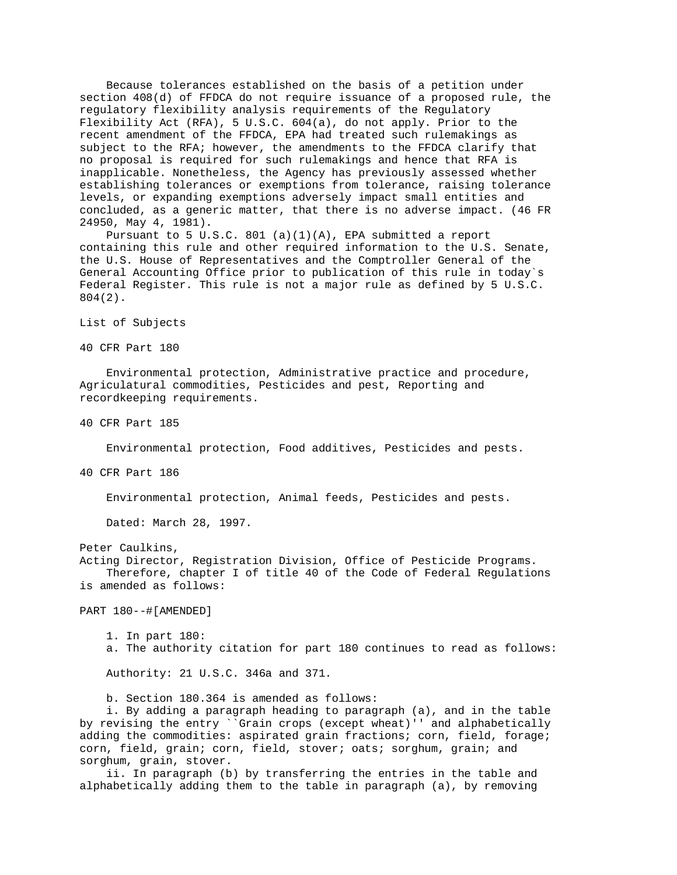Because tolerances established on the basis of a petition under section 408(d) of FFDCA do not require issuance of a proposed rule, the regulatory flexibility analysis requirements of the Regulatory Flexibility Act (RFA), 5 U.S.C. 604(a), do not apply. Prior to the recent amendment of the FFDCA, EPA had treated such rulemakings as subject to the RFA; however, the amendments to the FFDCA clarify that no proposal is required for such rulemakings and hence that RFA is inapplicable. Nonetheless, the Agency has previously assessed whether establishing tolerances or exemptions from tolerance, raising tolerance levels, or expanding exemptions adversely impact small entities and concluded, as a generic matter, that there is no adverse impact. (46 FR 24950, May 4, 1981).

 Pursuant to 5 U.S.C. 801 (a)(1)(A), EPA submitted a report containing this rule and other required information to the U.S. Senate, the U.S. House of Representatives and the Comptroller General of the General Accounting Office prior to publication of this rule in today`s Federal Register. This rule is not a major rule as defined by 5 U.S.C. 804(2).

List of Subjects

40 CFR Part 180

 Environmental protection, Administrative practice and procedure, Agriculatural commodities, Pesticides and pest, Reporting and recordkeeping requirements.

40 CFR Part 185

Environmental protection, Food additives, Pesticides and pests.

40 CFR Part 186

Environmental protection, Animal feeds, Pesticides and pests.

Dated: March 28, 1997.

Peter Caulkins,

Acting Director, Registration Division, Office of Pesticide Programs. Therefore, chapter I of title 40 of the Code of Federal Regulations is amended as follows:

PART 180--#[AMENDED]

 1. In part 180: a. The authority citation for part 180 continues to read as follows:

Authority: 21 U.S.C. 346a and 371.

b. Section 180.364 is amended as follows:

 i. By adding a paragraph heading to paragraph (a), and in the table by revising the entry ``Grain crops (except wheat)'' and alphabetically adding the commodities: aspirated grain fractions; corn, field, forage; corn, field, grain; corn, field, stover; oats; sorghum, grain; and sorghum, grain, stover.

 ii. In paragraph (b) by transferring the entries in the table and alphabetically adding them to the table in paragraph (a), by removing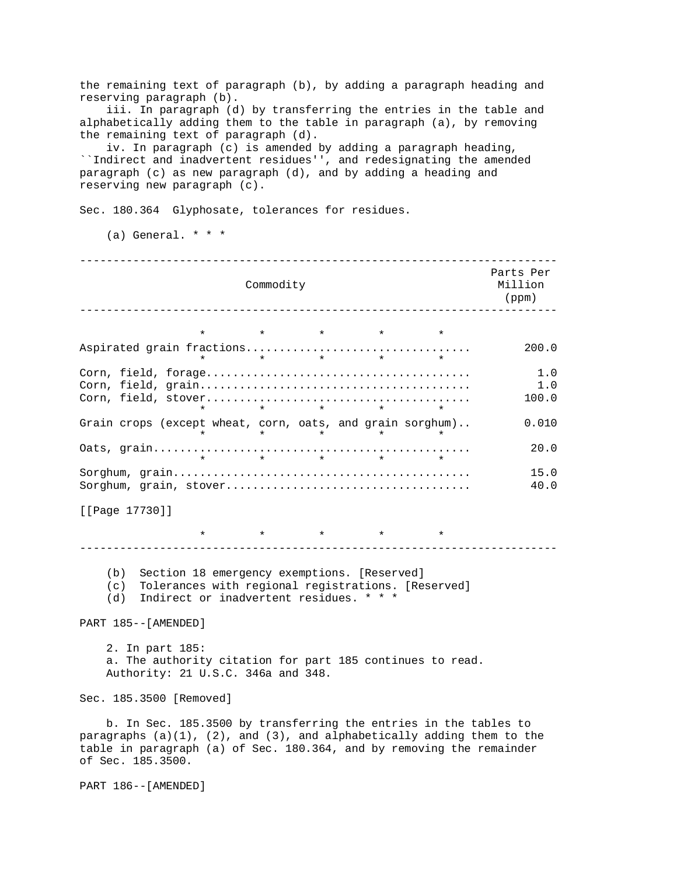the remaining text of paragraph (b), by adding a paragraph heading and reserving paragraph (b).

 iii. In paragraph (d) by transferring the entries in the table and alphabetically adding them to the table in paragraph (a), by removing the remaining text of paragraph (d).

 iv. In paragraph (c) is amended by adding a paragraph heading, ``Indirect and inadvertent residues'', and redesignating the amended paragraph (c) as new paragraph (d), and by adding a heading and reserving new paragraph (c).

Sec. 180.364 Glyphosate, tolerances for residues.

(a) General.  $* * *$ 

| Commodity                                                                                                                                                                     |                                                                  |  |                                 |  |  | Parts Per<br>Million<br>(ppm) |
|-------------------------------------------------------------------------------------------------------------------------------------------------------------------------------|------------------------------------------------------------------|--|---------------------------------|--|--|-------------------------------|
|                                                                                                                                                                               |                                                                  |  |                                 |  |  |                               |
|                                                                                                                                                                               |                                                                  |  | $\star$ $\star$ $\star$ $\star$ |  |  |                               |
|                                                                                                                                                                               | $\star$                                                          |  | $\star$ $\star$ $\star$         |  |  | 200.0                         |
|                                                                                                                                                                               |                                                                  |  |                                 |  |  | 1.0<br>1.0                    |
|                                                                                                                                                                               |                                                                  |  | $\star$ $\star$                 |  |  | 100.0                         |
| Grain crops (except wheat, corn, oats, and grain sorghum)                                                                                                                     |                                                                  |  | $\star$ $\star$ $\star$         |  |  | 0.010                         |
|                                                                                                                                                                               |                                                                  |  | $\star$ $\star$ $\star$ $\star$ |  |  | 20.0                          |
|                                                                                                                                                                               |                                                                  |  |                                 |  |  | 15.0<br>40.0                  |
| [[Page 17730]]                                                                                                                                                                |                                                                  |  |                                 |  |  |                               |
|                                                                                                                                                                               |                                                                  |  |                                 |  |  |                               |
| Section 18 emergency exemptions. [Reserved]<br>(b)<br>Tolerances with regional registrations. [Reserved]<br>(c)<br>Indirect or inadvertent residues. * * *<br>(d)             |                                                                  |  |                                 |  |  |                               |
| PART 185--[AMENDED]                                                                                                                                                           |                                                                  |  |                                 |  |  |                               |
| 2. In part 185:<br>a. The authority citation for part 185 continues to read.<br>Authority: 21 U.S.C. 346a and 348.                                                            |                                                                  |  |                                 |  |  |                               |
| Sec. 185.3500 [Removed]                                                                                                                                                       |                                                                  |  |                                 |  |  |                               |
| paragraphs $(a)(1)$ , $(2)$ , and $(3)$ , and alphabetically adding them to the<br>table in paragraph (a) of Sec. 180.364, and by removing the remainder<br>of Sec. 185.3500. | b. In Sec. 185.3500 by transferring the entries in the tables to |  |                                 |  |  |                               |
| PART 186 -- [AMENDED]                                                                                                                                                         |                                                                  |  |                                 |  |  |                               |